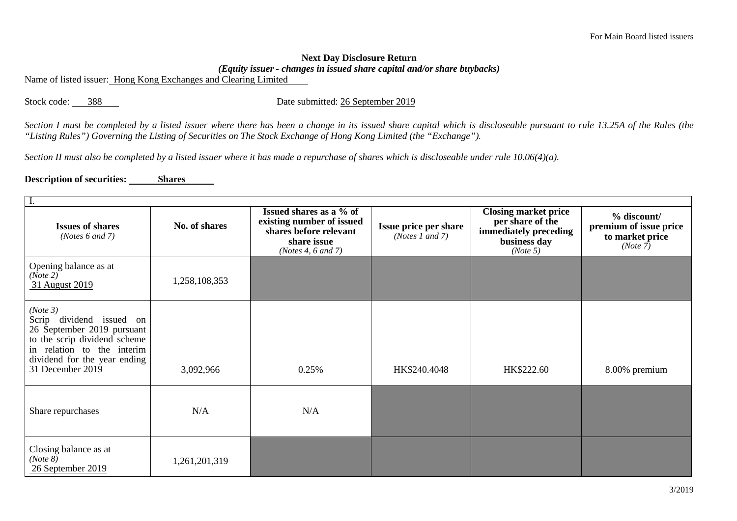## **Next Day Disclosure Return**

*(Equity issuer - changes in issued share capital and/or share buybacks)*

Name of listed issuer: Hong Kong Exchanges and Clearing Limited

Stock code: 388 Date submitted: 26 September 2019

*Section I must be completed by a listed issuer where there has been a change in its issued share capital which is discloseable pursuant to rule 13.25A of the Rules (the "Listing Rules") Governing the Listing of Securities on The Stock Exchange of Hong Kong Limited (the "Exchange").*

*Section II must also be completed by a listed issuer where it has made a repurchase of shares which is discloseable under rule 10.06(4)(a).*

## **Description of securities:** Shares

| <b>Issues of shares</b><br>( <i>Notes</i> $6$ and $7$ )                                                                                                                              | No. of shares | Issued shares as a % of<br>existing number of issued<br>shares before relevant<br>share issue<br>(Notes 4, $6$ and $7$ ) | Issue price per share<br>( <i>Notes 1 and 7</i> ) | <b>Closing market price</b><br>per share of the<br>immediately preceding<br>business day<br>(Note 5) | $%$ discount/<br>premium of issue price<br>to market price<br>(Note 7) |  |  |
|--------------------------------------------------------------------------------------------------------------------------------------------------------------------------------------|---------------|--------------------------------------------------------------------------------------------------------------------------|---------------------------------------------------|------------------------------------------------------------------------------------------------------|------------------------------------------------------------------------|--|--|
| Opening balance as at<br>(Note 2)<br>31 August 2019                                                                                                                                  | 1,258,108,353 |                                                                                                                          |                                                   |                                                                                                      |                                                                        |  |  |
| (Note 3)<br>Scrip dividend issued on<br>26 September 2019 pursuant<br>to the scrip dividend scheme<br>in relation to the interim<br>dividend for the year ending<br>31 December 2019 | 3,092,966     | 0.25%                                                                                                                    | HK\$240.4048                                      | HK\$222.60                                                                                           | 8.00% premium                                                          |  |  |
| Share repurchases                                                                                                                                                                    | N/A           | N/A                                                                                                                      |                                                   |                                                                                                      |                                                                        |  |  |
| Closing balance as at<br>(Note 8)<br>26 September 2019                                                                                                                               | 1,261,201,319 |                                                                                                                          |                                                   |                                                                                                      |                                                                        |  |  |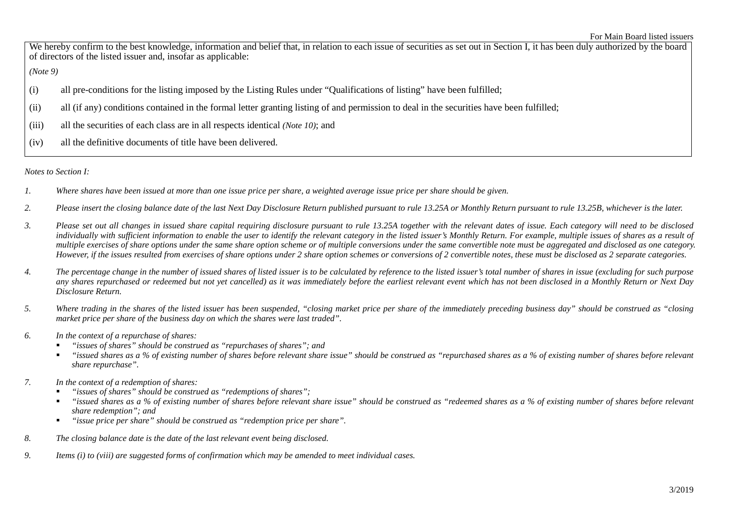We hereby confirm to the best knowledge, information and belief that, in relation to each issue of securities as set out in Section I, it has been duly authorized by the board of directors of the listed issuer and, insofar as applicable:

*(Note 9)*

- (i) all pre-conditions for the listing imposed by the Listing Rules under "Qualifications of listing" have been fulfilled;
- (ii) all (if any) conditions contained in the formal letter granting listing of and permission to deal in the securities have been fulfilled;
- (iii) all the securities of each class are in all respects identical *(Note 10)*; and
- (iv) all the definitive documents of title have been delivered.

*Notes to Section I:*

- *1. Where shares have been issued at more than one issue price per share, a weighted average issue price per share should be given.*
- *2. Please insert the closing balance date of the last Next Day Disclosure Return published pursuant to rule 13.25A or Monthly Return pursuant to rule 13.25B, whichever is the later.*
- *3. Please set out all changes in issued share capital requiring disclosure pursuant to rule 13.25A together with the relevant dates of issue. Each category will need to be disclosed individually with sufficient information to enable the user to identify the relevant category in the listed issuer's Monthly Return. For example, multiple issues of shares as a result of multiple exercises of share options under the same share option scheme or of multiple conversions under the same convertible note must be aggregated and disclosed as one category. However, if the issues resulted from exercises of share options under 2 share option schemes or conversions of 2 convertible notes, these must be disclosed as 2 separate categories.*
- *4. The percentage change in the number of issued shares of listed issuer is to be calculated by reference to the listed issuer's total number of shares in issue (excluding for such purpose any shares repurchased or redeemed but not yet cancelled) as it was immediately before the earliest relevant event which has not been disclosed in a Monthly Return or Next Day Disclosure Return.*
- *5. Where trading in the shares of the listed issuer has been suspended, "closing market price per share of the immediately preceding business day" should be construed as "closing market price per share of the business day on which the shares were last traded".*
- *6. In the context of a repurchase of shares:*
	- *"issues of shares" should be construed as "repurchases of shares"; and*
	- *"issued shares as a % of existing number of shares before relevant share issue" should be construed as "repurchased shares as a % of existing number of shares before relevant share repurchase".*
- *7. In the context of a redemption of shares:*
	- *"issues of shares" should be construed as "redemptions of shares";*
	- *"issued shares as a % of existing number of shares before relevant share issue" should be construed as "redeemed shares as a % of existing number of shares before relevant share redemption"; and*
	- *"issue price per share" should be construed as "redemption price per share".*
- *8. The closing balance date is the date of the last relevant event being disclosed.*
- *9. Items (i) to (viii) are suggested forms of confirmation which may be amended to meet individual cases.*